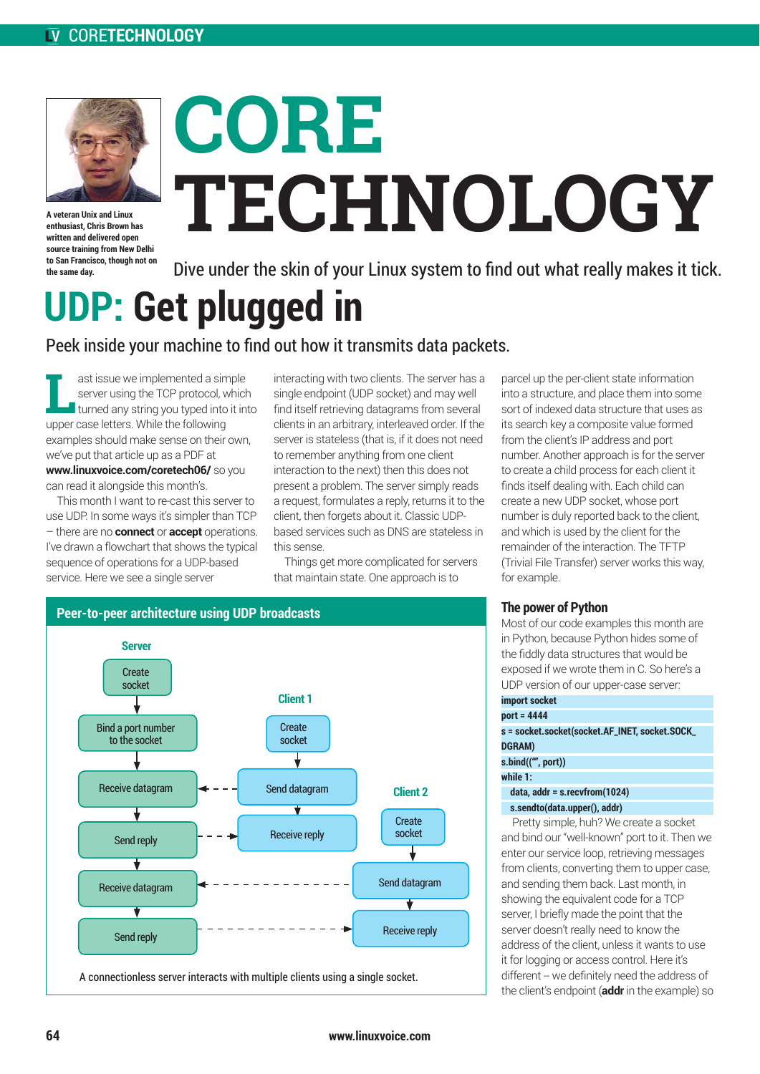

**A veteran Unix and Linux enthusiast, Chris Brown has written and delivered open source training from New Delhi to San Francisco, though not on the same day.**

# **CORE TECHNOLOGY**

Dive under the skin of your Linux system to find out what really makes it tick.

## **UDP: Get plugged in**

### Peek inside your machine to find out how it transmits data packets.

**Last issue we implemented a simple<br>server using the TCP protocol, which<br>turned any string you typed into it into<br>turner case letters. While the following** server using the TCP protocol, which upper case letters. While the following examples should make sense on their own, we've put that article up as a PDF at **www.linuxvoice.com/coretech06/** so you can read it alongside this month's.

This month I want to re-cast this server to use UDP. In some ways it's simpler than TCP – there are no **connect** or **accept** operations. I've drawn a flowchart that shows the typical sequence of operations for a UDP-based service. Here we see a single server

interacting with two clients. The server has a single endpoint (UDP socket) and may well find itself retrieving datagrams from several clients in an arbitrary, interleaved order. If the server is stateless (that is, if it does not need to remember anything from one client interaction to the next) then this does not present a problem. The server simply reads a request, formulates a reply, returns it to the client, then forgets about it. Classic UDPbased services such as DNS are stateless in this sense.

Things get more complicated for servers that maintain state. One approach is to



parcel up the per-client state information into a structure, and place them into some sort of indexed data structure that uses as its search key a composite value formed from the client's IP address and port number. Another approach is for the server to create a child process for each client it finds itself dealing with. Each child can create a new UDP socket, whose port number is duly reported back to the client, and which is used by the client for the remainder of the interaction. The TFTP (Trivial File Transfer) server works this way, for example.

#### **The power of Python**

Most of our code examples this month are in Python, because Python hides some of the fiddly data structures that would be exposed if we wrote them in C. So here's a UDP version of our upper-case server:

| import socket                                  |
|------------------------------------------------|
| port = 4444                                    |
| s = socket.socket(socket.AF_INET, socket.SOCK_ |
| <b>DGRAM)</b>                                  |
| s.bind(("", port))                             |
| while 1:                                       |
| data, addr = s.recvfrom(1024)                  |
| s.sendto(data.upper(), addr)                   |

Pretty simple, huh? We create a socket and bind our "well-known" port to it. Then we enter our service loop, retrieving messages from clients, converting them to upper case, and sending them back. Last month, in showing the equivalent code for a TCP server, I briefly made the point that the server doesn't really need to know the address of the client, unless it wants to use it for logging or access control. Here it's different -- we definitely need the address of the client's endpoint (**addr** in the example) so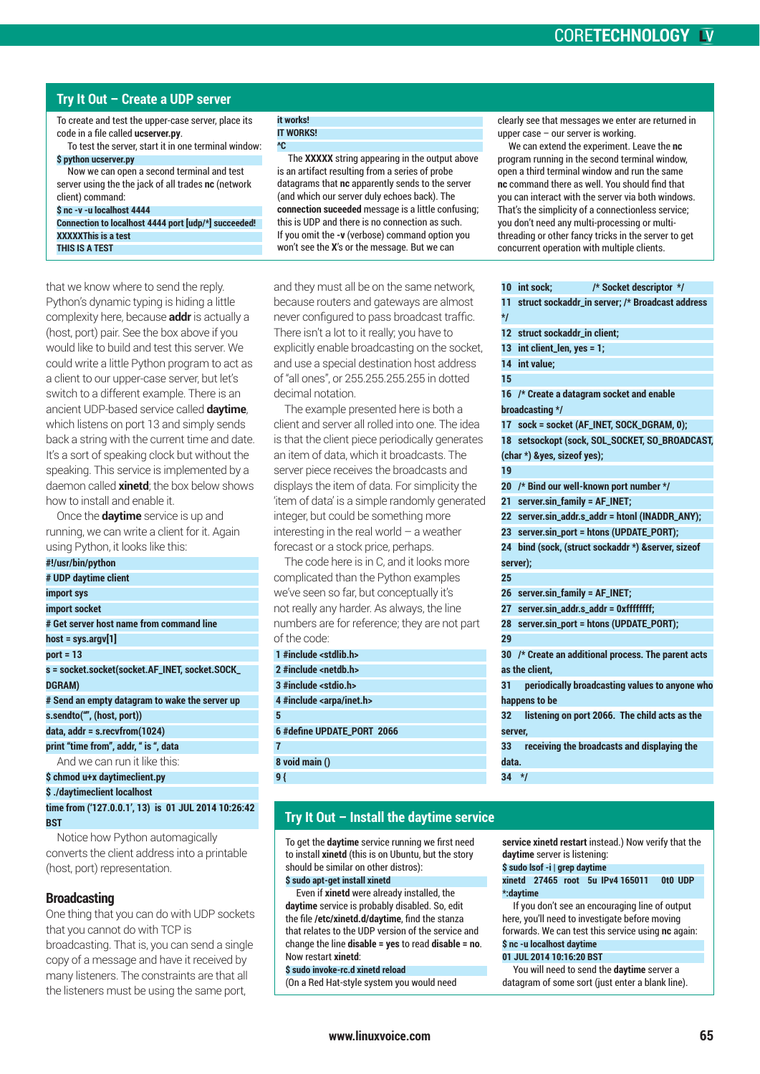#### CORE**TECHNOLOGY**

#### **Try It Out – Create a UDP server**

To create and test the upper-case server, place its code in a file called **ucserver.py**.

To test the server, start it in one terminal window: **\$ python ucserver.py** 

Now we can open a second terminal and test server using the the jack of all trades **nc** (network client) command:

**\$ nc -v -u localhost 4444**

**Connection to localhost 4444 port [udp/\*] succeeded! XXXXXThis is a test THIS IS A TEST**

that we know where to send the reply. Python's dynamic typing is hiding a little complexity here, because **addr** is actually a (host, port) pair. See the box above if you would like to build and test this server. We could write a little Python program to act as a client to our upper-case server, but let's switch to a different example. There is an ancient UDP-based service called **daytime**, which listens on port 13 and simply sends back a string with the current time and date. It's a sort of speaking clock but without the speaking. This service is implemented by a daemon called **xinetd**; the box below shows how to install and enable it.

Once the **daytime** service is up and running, we can write a client for it. Again using Python, it looks like this:

| #!/usr/bin/python                              |
|------------------------------------------------|
| # UDP daytime client                           |
| import sys                                     |
| import socket                                  |
| # Get server host name from command line       |
| $host = sys.argv[1]$                           |
| $port = 13$                                    |
| s = socket.socket(socket.AF_INET, socket.SOCK_ |
| <b>DGRAM)</b>                                  |
| # Send an empty datagram to wake the server up |
| s.sendto("", (host, port))                     |
| $data$ , $addr = s$ . recvfrom $(1024)$        |
| print "time from", addr, " is ", data          |
| And we can run it like this:                   |
| \$ chmod u+x daytimeclient.py                  |
|                                                |

**\$ ./daytimeclient localhost time from ('127.0.0.1', 13) is 01 JUL 2014 10:26:42 BST**

Notice how Python automagically converts the client address into a printable (host, port) representation.

#### **Broadcasting**

One thing that you can do with UDP sockets that you cannot do with TCP is broadcasting. That is, you can send a single copy of a message and have it received by many listeners. The constraints are that all the listeners must be using the same port,

#### **it works!**

**IT WORKS! ^C**

The **XXXXX** string appearing in the output above is an artifact resulting from a series of probe datagrams that **nc** apparently sends to the server (and which our server duly echoes back). The **connection suceeded** message is a little confusing; this is UDP and there is no connection as such. If you omit the **-v** (verbose) command option you won't see the **X**'s or the message. But we can

and they must all be on the same network, because routers and gateways are almost never configured to pass broadcast traffic. There isn't a lot to it really; you have to explicitly enable broadcasting on the socket, and use a special destination host address of "all ones", or 255.255.255.255 in dotted decimal notation.

The example presented here is both a client and server all rolled into one. The idea is that the client piece periodically generates an item of data, which it broadcasts. The server piece receives the broadcasts and displays the item of data. For simplicity the 'item of data' is a simple randomly generated integer, but could be something more interesting in the real world  $-$  a weather forecast or a stock price, perhaps.

The code here is in C, and it looks more complicated than the Python examples we've seen so far, but conceptually it's not really any harder. As always, the line numbers are for reference; they are not part of the code:

| 1 #include <stdlib.h></stdlib.h>   |
|------------------------------------|
| $2$ #include <netdb.h></netdb.h>   |
| 3 #include <stdio.h></stdio.h>     |
| 4 #include <arpa inet.h=""></arpa> |
| 5                                  |
| 6 #define UPDATE PORT 2066         |
|                                    |
| 8 void main ()                     |
| ؛ و                                |

clearly see that messages we enter are returned in upper case – our server is working.

We can extend the experiment. Leave the **nc** program running in the second terminal window, open a third terminal window and run the same **nc** command there as well. You should find that you can interact with the server via both windows. That's the simplicity of a connectionless service; you don't need any multi-processing or multithreading or other fancy tricks in the server to get concurrent operation with multiple clients.

| 10                | /* Socket descriptor */<br>int sock;                |
|-------------------|-----------------------------------------------------|
| 11<br>$*$         | struct sockaddr_in server; /* Broadcast address     |
| $12 \overline{ }$ | struct sockaddr_in client;                          |
| 13 <sup>°</sup>   | int client_len, yes = 1;                            |
| 14                | int value:                                          |
| 15                |                                                     |
| 16                | /* Create a datagram socket and enable              |
|                   | broadcasting */                                     |
| 17                | sock = socket (AF_INET, SOCK_DGRAM, 0);             |
| 18                | setsockopt (sock, SOL_SOCKET, SO_BROADCAST,         |
|                   | (char *) &yes, sizeof yes);                         |
| 19                |                                                     |
| 20                | /* Bind our well-known port number */               |
| 21                | server.sin_family = AF_INET;                        |
|                   | 22 server.sin_addr.s_addr = htonl (INADDR_ANY);     |
|                   | 23 server.sin_port = htons (UPDATE_PORT);           |
| 24                | bind (sock, (struct sockaddr *) &server, sizeof     |
|                   | server):                                            |
| 25                |                                                     |
| 26                | server.sin_family = AF_INET;                        |
| 27                | server.sin_addr.s_addr = 0xffffffff;                |
| 28                | server.sin_port = htons (UPDATE_PORT);              |
| 29                |                                                     |
|                   | 30 /* Create an additional process. The parent acts |
|                   | as the client.                                      |
| 31                | periodically broadcasting values to anyone who      |
|                   | happens to be                                       |
| 32                | listening on port 2066. The child acts as the       |
| server,           |                                                     |
| 33                | receiving the broadcasts and displaying the         |
| data.             |                                                     |
| 34                | $*$                                                 |
|                   |                                                     |

#### **Try It Out – Install the daytime service**

To get the **daytime** service running we first need to install **xinetd** (this is on Ubuntu, but the story should be similar on other distros): **\$ sudo apt-get install xinetd**

Even if **xinetd** were already installed, the **daytime** service is probably disabled. So, edit the file **/etc/xinetd.d/daytime**, find the stanza that relates to the UDP version of the service and change the line **disable = yes** to read **disable = no**. Now restart **xinetd**:

#### **\$ sudo invoke-rc.d xinetd reload**

(On a Red Hat-style system you would need

**service xinetd restart** instead.) Now verify that the **daytime** server is listening:

**\$ sudo lsof -i | grep daytime xinetd 27465 root 5u IPv4 165011 0t0 UDP \*:daytime** 

If you don't see an encouraging line of output here, you'll need to investigate before moving forwards. We can test this service using **nc** again:

#### **\$ nc -u localhost daytime 01 JUL 2014 10:16:20 BST**

You will need to send the **daytime** server a datagram of some sort (just enter a blank line).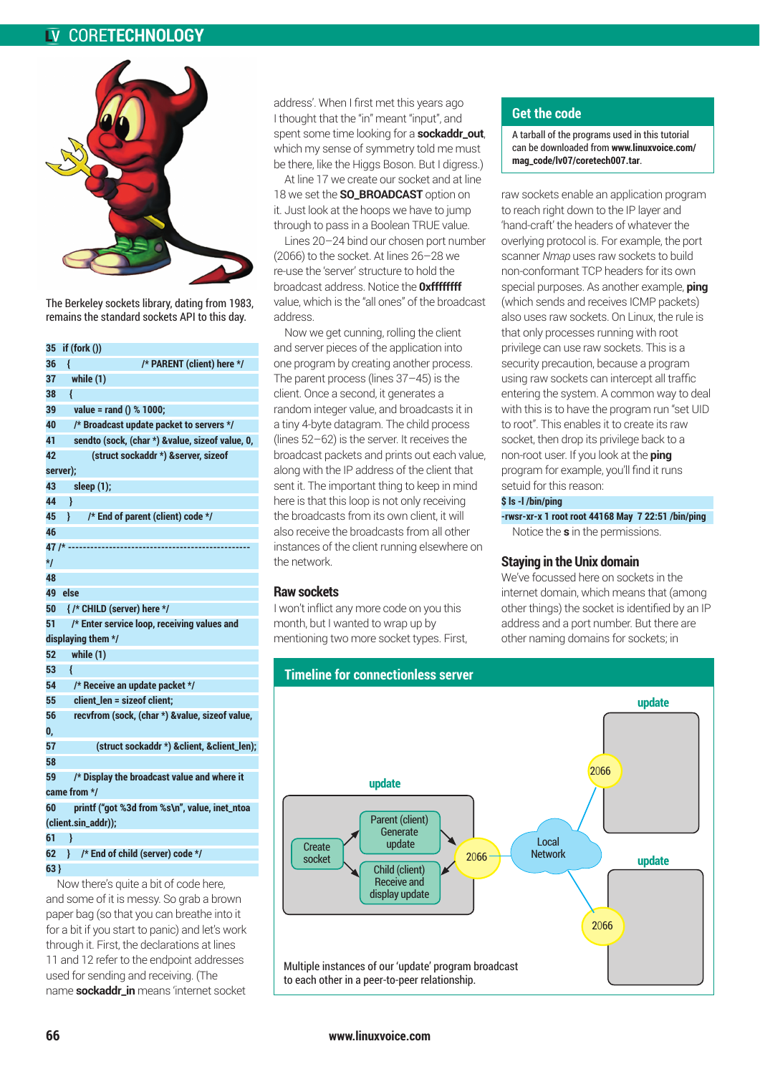#### CORE**TECHNOLOGY**



The Berkeley sockets library, dating from 1983, remains the standard sockets API to this day.

| 35  | if (fork ())                                    |
|-----|-------------------------------------------------|
| 36  | ∤<br>/* PARENT (client) here */                 |
| 37  | while (1)                                       |
| 38  | ł                                               |
| 39  | value = rand () % 1000;                         |
| 40  | /* Broadcast update packet to servers */        |
| 41  | sendto (sock, (char *) &value, sizeof value, 0, |
| 42  | (struct sockaddr *) & server, sizeof            |
|     | server);                                        |
| 43  | sleep (1);                                      |
| 44  | ∤                                               |
| 45  | /* End of parent (client) code */<br>ł          |
| 46  |                                                 |
|     | 47 /* ----                                      |
| */  |                                                 |
| 48  |                                                 |
| 49  | else                                            |
| 50  | {/* CHILD (server) here */                      |
| 51  | /* Enter service loop, receiving values and     |
|     | displaying them */                              |
| 52  | while (1)                                       |
| 53  | ł                                               |
| 54  | /* Receive an update packet */                  |
| 55  | client_len = sizeof client;                     |
| 56  | recvfrom (sock, (char *) &value, sizeof value,  |
| 0,  |                                                 |
| 57  | (struct sockaddr *) & client, & client_len);    |
| 58  |                                                 |
| 59  | /* Display the broadcast value and where it     |
|     | came from */                                    |
| 60  | printf ("got %3d from %s\n", value, inet_ntoa   |
|     | (client.sin_addr));                             |
| 61  | ∤                                               |
| 62  | /* End of child (server) code */<br>∤ ∶         |
| 63) |                                                 |

Now there's quite a bit of code here, and some of it is messy. So grab a brown paper bag (so that you can breathe into it for a bit if you start to panic) and let's work through it. First, the declarations at lines 11 and 12 refer to the endpoint addresses used for sending and receiving. (The name **sockaddr\_in** means 'internet socket

address'. When I first met this years ago I thought that the "in" meant "input", and spent some time looking for a **sockaddr\_out**, which my sense of symmetry told me must be there, like the Higgs Boson. But I digress.)

At line 17 we create our socket and at line 18 we set the **SO\_BROADCAST** option on it. Just look at the hoops we have to jump through to pass in a Boolean TRUE value.

Lines 20–24 bind our chosen port number (2066) to the socket. At lines 26–28 we re-use the 'server' structure to hold the broadcast address. Notice the **0xffffffff** value, which is the "all ones" of the broadcast address.

Now we get cunning, rolling the client and server pieces of the application into one program by creating another process. The parent process (lines 37–45) is the client. Once a second, it generates a random integer value, and broadcasts it in a tiny 4-byte datagram. The child process (lines 52–62) is the server. It receives the broadcast packets and prints out each value, along with the IP address of the client that sent it. The important thing to keep in mind here is that this loop is not only receiving the broadcasts from its own client, it will also receive the broadcasts from all other instances of the client running elsewhere on the network.

#### **Raw sockets**

I won't inflict any more code on you this month, but I wanted to wrap up by mentioning two more socket types. First,

#### **Get the code**

A tarball of the programs used in this tutorial can be downloaded from **www.linuxvoice.com/ mag\_code/lv07/coretech007.tar**.

raw sockets enable an application program to reach right down to the IP layer and 'hand-craft' the headers of whatever the overlying protocol is. For example, the port scanner *Nmap* uses raw sockets to build non-conformant TCP headers for its own special purposes. As another example, **ping** (which sends and receives ICMP packets) also uses raw sockets. On Linux, the rule is that only processes running with root privilege can use raw sockets. This is a security precaution, because a program using raw sockets can intercept all traffic entering the system. A common way to deal with this is to have the program run "set UID to root". This enables it to create its raw socket, then drop its privilege back to a non-root user. If you look at the **ping** program for example, you'll find it runs setuid for this reason:

#### **\$ ls -l /bin/ping**

**-rwsr-xr-x 1 root root 44168 May 7 22:51 /bin/ping** Notice the **s** in the permissions.

#### **Staying in the Unix domain**

We've focussed here on sockets in the internet domain, which means that (among other things) the socket is identified by an IP address and a port number. But there are other naming domains for sockets; in